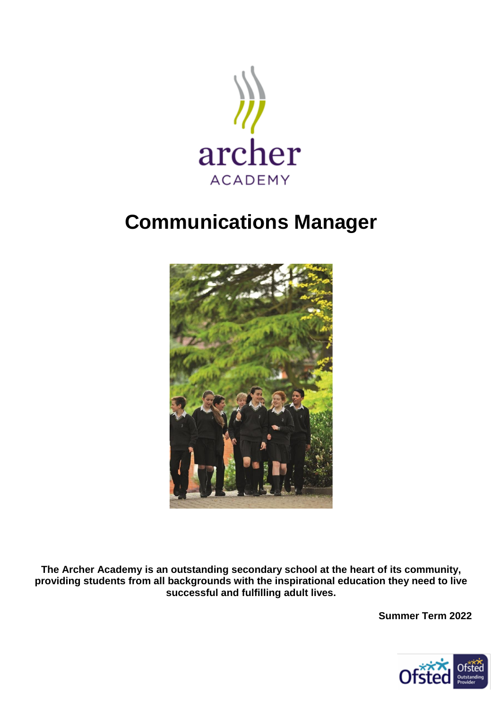

### **Communications Manager**



**The Archer Academy is an outstanding secondary school at the heart of its community, providing students from all backgrounds with the inspirational education they need to live successful and fulfilling adult lives.**

**Summer Term 2022** 

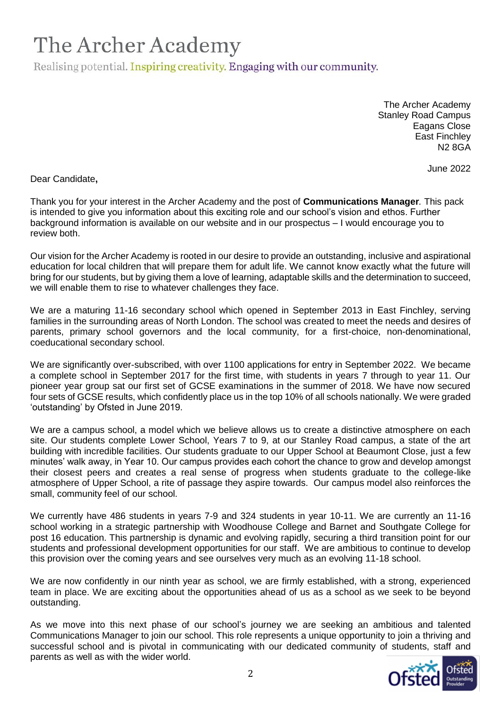Realising potential. Inspiring creativity. Engaging with our community.

The Archer Academy Stanley Road Campus Eagans Close East Finchley N2 8GA

June 2022

Dear Candidate**,**

Thank you for your interest in the Archer Academy and the post of **Communications Manager***.* This pack is intended to give you information about this exciting role and our school's vision and ethos. Further background information is available on our website and in our prospectus – I would encourage you to review both.

Our vision for the Archer Academy is rooted in our desire to provide an outstanding, inclusive and aspirational education for local children that will prepare them for adult life. We cannot know exactly what the future will bring for our students, but by giving them a love of learning, adaptable skills and the determination to succeed, we will enable them to rise to whatever challenges they face.

We are a maturing 11-16 secondary school which opened in September 2013 in East Finchley, serving families in the surrounding areas of North London. The school was created to meet the needs and desires of parents, primary school governors and the local community, for a first-choice, non-denominational, coeducational secondary school.

We are significantly over-subscribed, with over 1100 applications for entry in September 2022. We became a complete school in September 2017 for the first time, with students in years 7 through to year 11. Our pioneer year group sat our first set of GCSE examinations in the summer of 2018. We have now secured four sets of GCSE results, which confidently place us in the top 10% of all schools nationally. We were graded 'outstanding' by Ofsted in June 2019.

We are a campus school, a model which we believe allows us to create a distinctive atmosphere on each site. Our students complete Lower School, Years 7 to 9, at our Stanley Road campus, a state of the art building with incredible facilities. Our students graduate to our Upper School at Beaumont Close, just a few minutes' walk away, in Year 10. Our campus provides each cohort the chance to grow and develop amongst their closest peers and creates a real sense of progress when students graduate to the college-like atmosphere of Upper School, a rite of passage they aspire towards. Our campus model also reinforces the small, community feel of our school.

We currently have 486 students in years 7-9 and 324 students in year 10-11. We are currently an 11-16 school working in a strategic partnership with Woodhouse College and Barnet and Southgate College for post 16 education. This partnership is dynamic and evolving rapidly, securing a third transition point for our students and professional development opportunities for our staff. We are ambitious to continue to develop this provision over the coming years and see ourselves very much as an evolving 11-18 school.

We are now confidently in our ninth year as school, we are firmly established, with a strong, experienced team in place. We are exciting about the opportunities ahead of us as a school as we seek to be beyond outstanding.

As we move into this next phase of our school's journey we are seeking an ambitious and talented Communications Manager to join our school. This role represents a unique opportunity to join a thriving and successful school and is pivotal in communicating with our dedicated community of students, staff and parents as well as with the wider world.

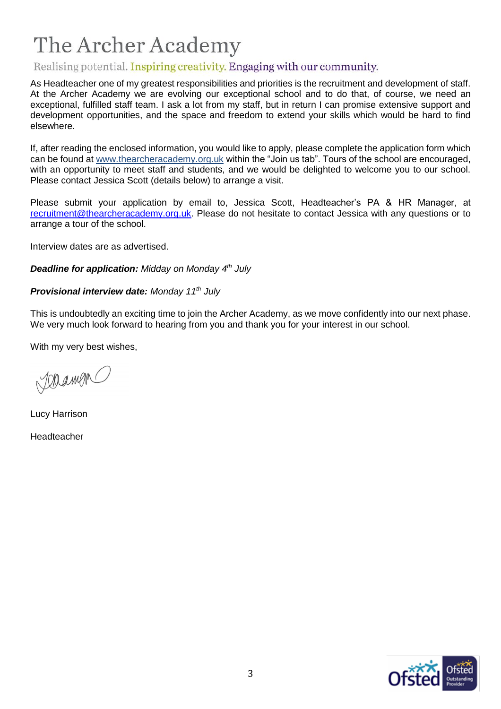### Realising potential. Inspiring creativity. Engaging with our community.

As Headteacher one of my greatest responsibilities and priorities is the recruitment and development of staff. At the Archer Academy we are evolving our exceptional school and to do that, of course, we need an exceptional, fulfilled staff team. I ask a lot from my staff, but in return I can promise extensive support and development opportunities, and the space and freedom to extend your skills which would be hard to find elsewhere.

If, after reading the enclosed information, you would like to apply, please complete the application form which can be found at [www.thearcheracademy.org.uk](http://www.thearcheracademy.org.uk/) within the "Join us tab". Tours of the school are encouraged, with an opportunity to meet staff and students, and we would be delighted to welcome you to our school. Please contact Jessica Scott (details below) to arrange a visit.

Please submit your application by email to, Jessica Scott, Headteacher's PA & HR Manager, at [recruitment@thearcheracademy.org.uk.](mailto:recruitment@thearcheracademy.org.uk) Please do not hesitate to contact Jessica with any questions or to arrange a tour of the school.

Interview dates are as advertised.

*Deadline for application: Midday on Monday 4th July* 

*Provisional interview date: Monday 11th July* 

This is undoubtedly an exciting time to join the Archer Academy, as we move confidently into our next phase. We very much look forward to hearing from you and thank you for your interest in our school.

With my very best wishes,

Joramon

Lucy Harrison Headteacher

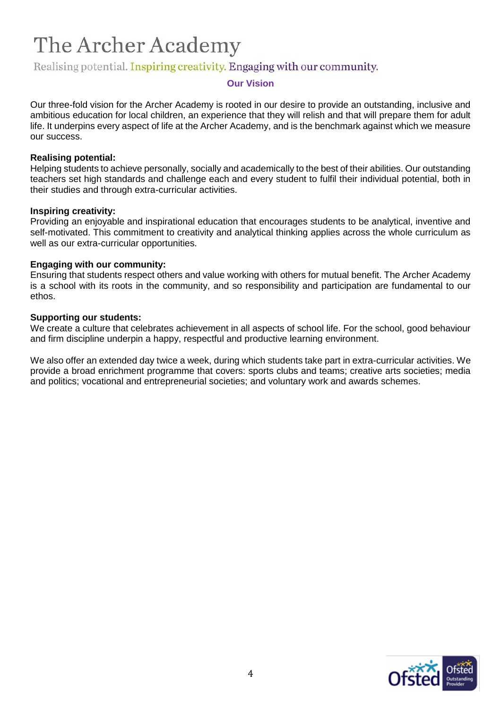### Realising potential. Inspiring creativity. Engaging with our community.

#### **Our Vision**

Our three-fold vision for the Archer Academy is rooted in our desire to provide an outstanding, inclusive and ambitious education for local children, an experience that they will relish and that will prepare them for adult life. It underpins every aspect of life at the Archer Academy, and is the benchmark against which we measure our success.

#### **Realising potential:**

Helping students to achieve personally, socially and academically to the best of their abilities. Our outstanding teachers set high standards and challenge each and every student to fulfil their individual potential, both in their studies and through extra-curricular activities.

#### **Inspiring creativity:**

Providing an enjoyable and inspirational education that encourages students to be analytical, inventive and self-motivated. This commitment to creativity and analytical thinking applies across the whole curriculum as well as our extra-curricular opportunities.

#### **Engaging with our community:**

Ensuring that students respect others and value working with others for mutual benefit. The Archer Academy is a school with its roots in the community, and so responsibility and participation are fundamental to our ethos.

#### **Supporting our students:**

We create a culture that celebrates achievement in all aspects of school life. For the school, good behaviour and firm discipline underpin a happy, respectful and productive learning environment.

We also offer an extended day twice a week, during which students take part in extra-curricular activities. We provide a broad enrichment programme that covers: sports clubs and teams; creative arts societies; media and politics; vocational and entrepreneurial societies; and voluntary work and awards schemes.

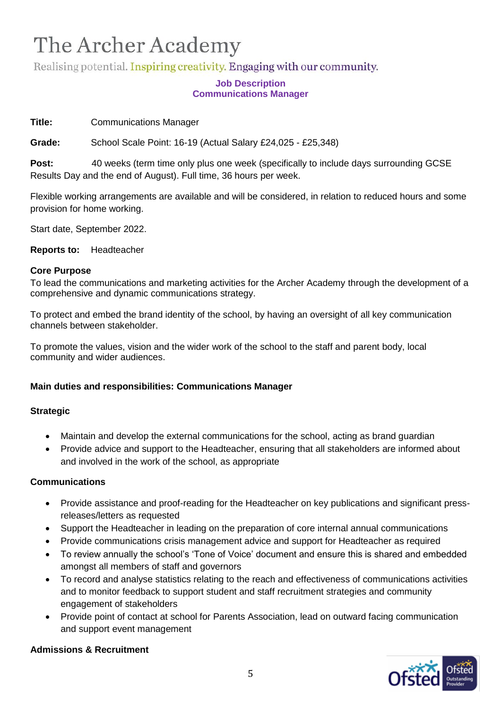Realising potential. Inspiring creativity. Engaging with our community.

#### **Job Description Communications Manager**

**Title:** Communications Manager

**Grade:** School Scale Point: 16-19 (Actual Salary £24,025 - £25,348)

**Post:** 40 weeks (term time only plus one week (specifically to include days surrounding GCSE Results Day and the end of August). Full time, 36 hours per week.

Flexible working arrangements are available and will be considered, in relation to reduced hours and some provision for home working.

Start date, September 2022.

**Reports to:** Headteacher

#### **Core Purpose**

To lead the communications and marketing activities for the Archer Academy through the development of a comprehensive and dynamic communications strategy.

To protect and embed the brand identity of the school, by having an oversight of all key communication channels between stakeholder.

To promote the values, vision and the wider work of the school to the staff and parent body, local community and wider audiences.

#### **Main duties and responsibilities: Communications Manager**

#### **Strategic**

- Maintain and develop the external communications for the school, acting as brand guardian
- Provide advice and support to the Headteacher, ensuring that all stakeholders are informed about and involved in the work of the school, as appropriate

#### **Communications**

- Provide assistance and proof-reading for the Headteacher on key publications and significant pressreleases/letters as requested
- Support the Headteacher in leading on the preparation of core internal annual communications
- Provide communications crisis management advice and support for Headteacher as required
- To review annually the school's 'Tone of Voice' document and ensure this is shared and embedded amongst all members of staff and governors
- To record and analyse statistics relating to the reach and effectiveness of communications activities and to monitor feedback to support student and staff recruitment strategies and community engagement of stakeholders
- Provide point of contact at school for Parents Association, lead on outward facing communication and support event management

#### **Admissions & Recruitment**

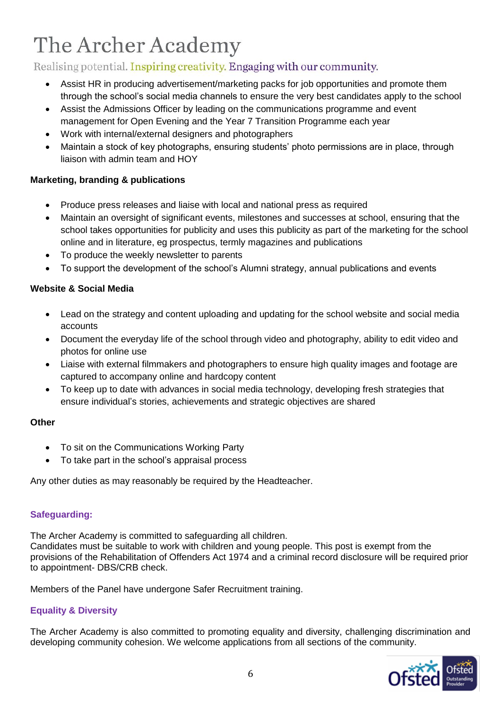### Realising potential. Inspiring creativity. Engaging with our community.

- Assist HR in producing advertisement/marketing packs for job opportunities and promote them through the school's social media channels to ensure the very best candidates apply to the school
- Assist the Admissions Officer by leading on the communications programme and event management for Open Evening and the Year 7 Transition Programme each year
- Work with internal/external designers and photographers
- Maintain a stock of key photographs, ensuring students' photo permissions are in place, through liaison with admin team and HOY

#### **Marketing, branding & publications**

- Produce press releases and liaise with local and national press as required
- Maintain an oversight of significant events, milestones and successes at school, ensuring that the school takes opportunities for publicity and uses this publicity as part of the marketing for the school online and in literature, eg prospectus, termly magazines and publications
- To produce the weekly newsletter to parents
- To support the development of the school's Alumni strategy, annual publications and events

#### **Website & Social Media**

- Lead on the strategy and content uploading and updating for the school website and social media accounts
- Document the everyday life of the school through video and photography, ability to edit video and photos for online use
- Liaise with external filmmakers and photographers to ensure high quality images and footage are captured to accompany online and hardcopy content
- To keep up to date with advances in social media technology, developing fresh strategies that ensure individual's stories, achievements and strategic objectives are shared

#### **Other**

- To sit on the Communications Working Party
- To take part in the school's appraisal process

Any other duties as may reasonably be required by the Headteacher.

#### **Safeguarding:**

The Archer Academy is committed to safeguarding all children. Candidates must be suitable to work with children and young people. This post is exempt from the provisions of the Rehabilitation of Offenders Act 1974 and a criminal record disclosure will be required prior to appointment- DBS/CRB check.

Members of the Panel have undergone Safer Recruitment training.

#### **Equality & Diversity**

The Archer Academy is also committed to promoting equality and diversity, challenging discrimination and developing community cohesion. We welcome applications from all sections of the community.

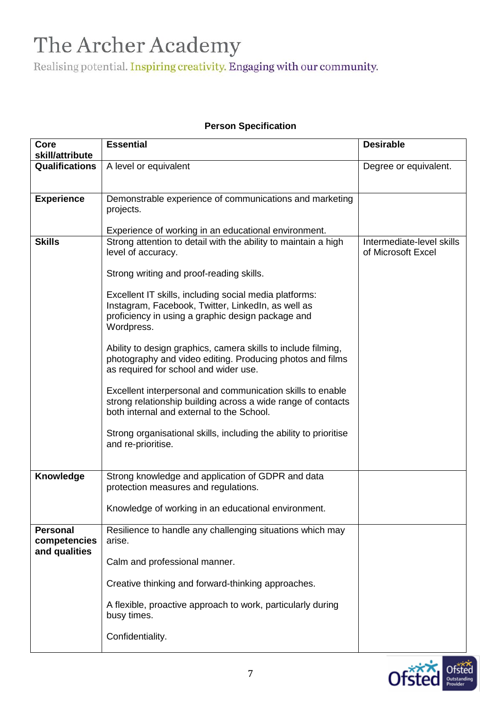Realising potential. Inspiring creativity. Engaging with our community.

| Core<br>skill/attribute         | <b>Essential</b>                                                                                                                                                                | <b>Desirable</b>                                |
|---------------------------------|---------------------------------------------------------------------------------------------------------------------------------------------------------------------------------|-------------------------------------------------|
| <b>Qualifications</b>           | A level or equivalent                                                                                                                                                           | Degree or equivalent.                           |
|                                 |                                                                                                                                                                                 |                                                 |
| <b>Experience</b>               | Demonstrable experience of communications and marketing<br>projects.                                                                                                            |                                                 |
|                                 | Experience of working in an educational environment.                                                                                                                            |                                                 |
| <b>Skills</b>                   | Strong attention to detail with the ability to maintain a high<br>level of accuracy.                                                                                            | Intermediate-level skills<br>of Microsoft Excel |
|                                 | Strong writing and proof-reading skills.                                                                                                                                        |                                                 |
|                                 | Excellent IT skills, including social media platforms:<br>Instagram, Facebook, Twitter, LinkedIn, as well as<br>proficiency in using a graphic design package and<br>Wordpress. |                                                 |
|                                 | Ability to design graphics, camera skills to include filming,<br>photography and video editing. Producing photos and films<br>as required for school and wider use.             |                                                 |
|                                 | Excellent interpersonal and communication skills to enable<br>strong relationship building across a wide range of contacts<br>both internal and external to the School.         |                                                 |
|                                 | Strong organisational skills, including the ability to prioritise<br>and re-prioritise.                                                                                         |                                                 |
| <b>Knowledge</b>                | Strong knowledge and application of GDPR and data<br>protection measures and regulations.                                                                                       |                                                 |
|                                 | Knowledge of working in an educational environment.                                                                                                                             |                                                 |
| <b>Personal</b><br>competencies | Resilience to handle any challenging situations which may<br>arise.                                                                                                             |                                                 |
| and qualities                   | Calm and professional manner.                                                                                                                                                   |                                                 |
|                                 | Creative thinking and forward-thinking approaches.                                                                                                                              |                                                 |
|                                 | A flexible, proactive approach to work, particularly during<br>busy times.                                                                                                      |                                                 |
|                                 | Confidentiality.                                                                                                                                                                |                                                 |

#### **Person Specification**